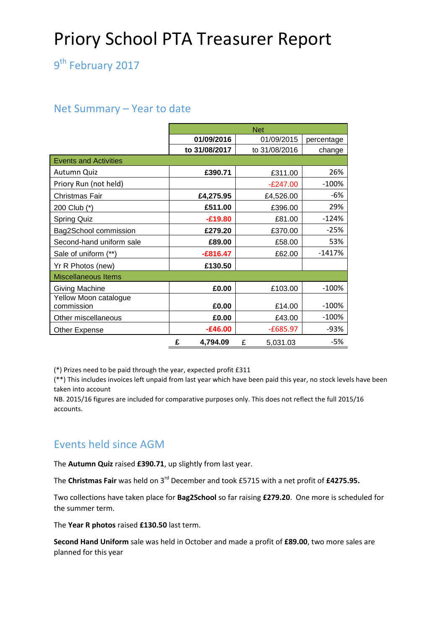# Priory School PTA Treasurer Report

9<sup>th</sup> February 2017

#### Net Summary – Year to date

|                                     | <b>Net</b>    |               |            |  |  |  |  |
|-------------------------------------|---------------|---------------|------------|--|--|--|--|
|                                     | 01/09/2016    | 01/09/2015    | percentage |  |  |  |  |
|                                     | to 31/08/2017 | to 31/08/2016 | change     |  |  |  |  |
| <b>Events and Activities</b>        |               |               |            |  |  |  |  |
| Autumn Quiz                         | £390.71       | £311.00       | 26%        |  |  |  |  |
| Priory Run (not held)               |               | $-E247.00$    | $-100%$    |  |  |  |  |
| Christmas Fair                      | £4,275.95     | £4,526.00     | $-6%$      |  |  |  |  |
| 200 Club (*)                        | £511.00       | £396.00       | 29%        |  |  |  |  |
| <b>Spring Quiz</b>                  | $-£19.80$     | £81.00        | $-124%$    |  |  |  |  |
| Bag2School commission               | £279.20       | £370.00       | $-25%$     |  |  |  |  |
| Second-hand uniform sale            | £89.00        | £58.00        | 53%        |  |  |  |  |
| Sale of uniform (**)                | $-£816.47$    | £62.00        | $-1417%$   |  |  |  |  |
| Yr R Photos (new)                   | £130.50       |               |            |  |  |  |  |
| Miscellaneous Items                 |               |               |            |  |  |  |  |
| <b>Giving Machine</b>               | £0.00         | £103.00       | $-100%$    |  |  |  |  |
| Yellow Moon catalogue<br>commission | £0.00         | £14.00        | $-100%$    |  |  |  |  |
| Other miscellaneous                 | £0.00         | £43.00        | $-100\%$   |  |  |  |  |
| Other Expense                       | $-£46.00$     | $-£685.97$    | -93%       |  |  |  |  |
|                                     | £<br>4,794.09 | £<br>5,031.03 | -5%        |  |  |  |  |

(\*) Prizes need to be paid through the year, expected profit £311

(\*\*) This includes invoices left unpaid from last year which have been paid this year, no stock levels have been taken into account

NB. 2015/16 figures are included for comparative purposes only. This does not reflect the full 2015/16 accounts.

### Events held since AGM

The **Autumn Quiz** raised **£390.71**, up slightly from last year.

The **Christmas Fair** was held on 3rd December and took £5715 with a net profit of **£4275.95.**

Two collections have taken place for **Bag2School** so far raising **£279.20**. One more is scheduled for the summer term.

The **Year R photos** raised **£130.50** last term.

**Second Hand Uniform** sale was held in October and made a profit of **£89.00**, two more sales are planned for this year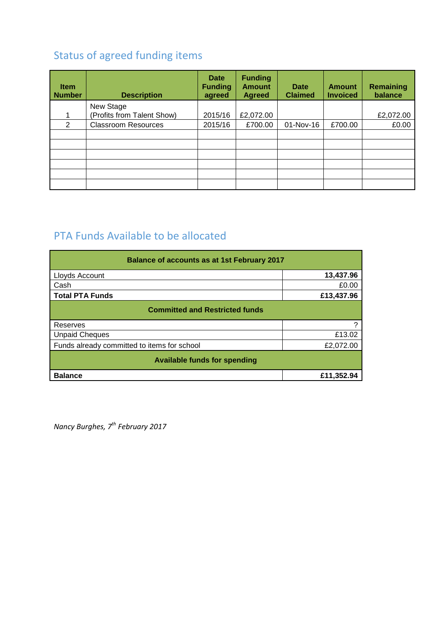## Status of agreed funding items

| <b>Item</b><br><b>Number</b> | <b>Description</b>         | <b>Date</b><br><b>Funding</b><br>agreed | <b>Funding</b><br><b>Amount</b><br><b>Agreed</b> | <b>Date</b><br><b>Claimed</b> | <b>Amount</b><br><b>Invoiced</b> | Remaining<br>balance |
|------------------------------|----------------------------|-----------------------------------------|--------------------------------------------------|-------------------------------|----------------------------------|----------------------|
|                              | New Stage                  |                                         |                                                  |                               |                                  |                      |
| 1                            | (Profits from Talent Show) | 2015/16                                 | £2,072.00                                        |                               |                                  | £2,072.00            |
| 2                            | <b>Classroom Resources</b> | 2015/16                                 | £700.00                                          | 01-Nov-16                     | £700.00                          | £0.00                |
|                              |                            |                                         |                                                  |                               |                                  |                      |
|                              |                            |                                         |                                                  |                               |                                  |                      |
|                              |                            |                                         |                                                  |                               |                                  |                      |
|                              |                            |                                         |                                                  |                               |                                  |                      |
|                              |                            |                                         |                                                  |                               |                                  |                      |
|                              |                            |                                         |                                                  |                               |                                  |                      |

# PTA Funds Available to be allocated

| <b>Balance of accounts as at 1st February 2017</b> |            |  |  |  |  |
|----------------------------------------------------|------------|--|--|--|--|
| Lloyds Account                                     | 13,437.96  |  |  |  |  |
| Cash                                               | £0.00      |  |  |  |  |
| <b>Total PTA Funds</b>                             | £13,437.96 |  |  |  |  |
| <b>Committed and Restricted funds</b>              |            |  |  |  |  |
| Reserves                                           | ?          |  |  |  |  |
| <b>Unpaid Cheques</b>                              | £13.02     |  |  |  |  |
| Funds already committed to items for school        | £2,072.00  |  |  |  |  |
| <b>Available funds for spending</b>                |            |  |  |  |  |
| <b>Balance</b>                                     | £11,352.94 |  |  |  |  |

*Nancy Burghes, 7th February 2017*